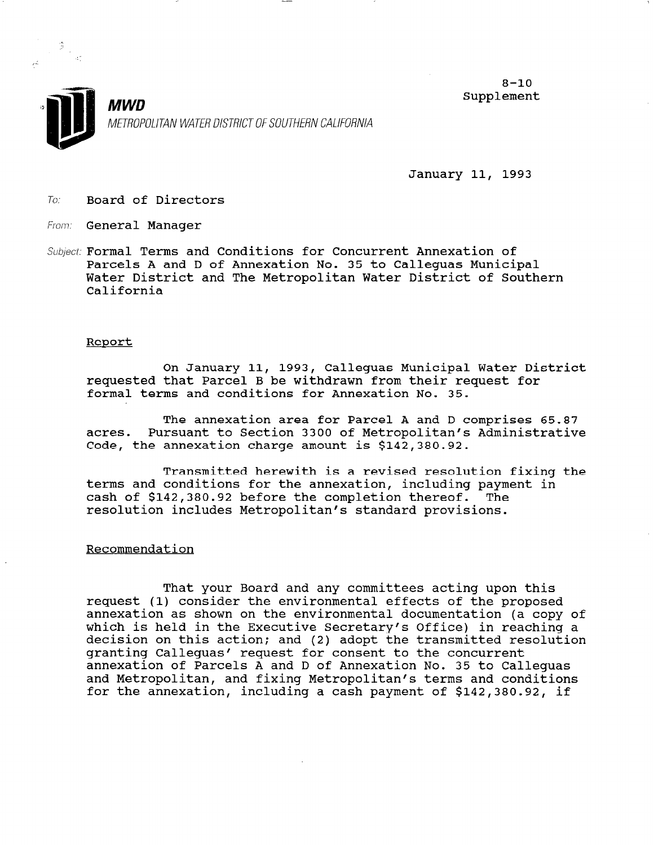



January 11, 1993

To: Board of Directors

- From: General Manage:
- Subject: Formal Terms and Conditions for Concurrent Annexation of Parcels A and D of Annexation No. 35 to Calleguas Municipal Water District and The Metropolitan Water District of Southern California

## Report

On January 11, 1993, Calleguas Municipal Water District requested that Parcel B be withdrawn from their request for formal terms and conditions for Annexation No. 35.

The annexation area for Parcel A and D comprises 65.87 acres. Pursuant to Section 3300 of Metropolitan's Administrative Code, the annexation charge amount is \$142,380.92.

Transmitted herewith is a revised resolution fixing the terms and conditions for the annexation, including payment in cash of \$142,380.92 before the completion thereof. The resolution includes Metropolitan's standard provisions.

## Recommendation

That your Board and any committees acting upon this request (1) consider the environmental effects of the proposed annexation as shown on the environmental documentation (a copy of annexación as snown on the environmental documentación (a copy of which is held in the executive secretary's Ullice) in reaching<br>decision on this action: and (2) adopt the transmitted resolut decision on this action; and (2) adopt the transmitted resolution<br>granting Calleguas' request for consent to the concurrent annexation of Parcels A and D of Annexation No. 35 to Calleguas annexation of Parcels A and D of Annexation No. 33 to Callegue and Metropolitan, and fixing Metropolitan's terms and conditions<br>for the annexation, including a cash payment of \$142,380.92, if